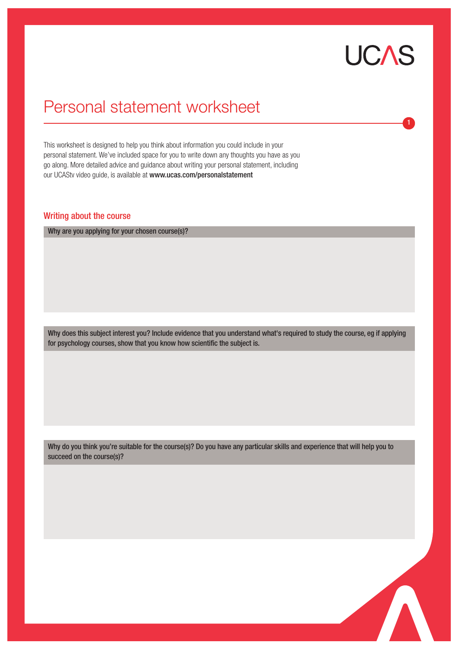# **UCAS**

1

## Personal statement worksheet

This worksheet is designed to help you think about information you could include in your personal statement. We've included space for you to write down any thoughts you have as you go along. More detailed advice and guidance about writing your personal statement, including our UCAStv video guide, is available at www.ucas.com/personalstatement

## Writing about the course

Why are you applying for your chosen course(s)?

Why does this subject interest you? Include evidence that you understand what's required to study the course, eg if applying for psychology courses, show that you know how scientific the subject is.

Why do you think you're suitable for the course(s)? Do you have any particular skills and experience that will help you to succeed on the course(s)?

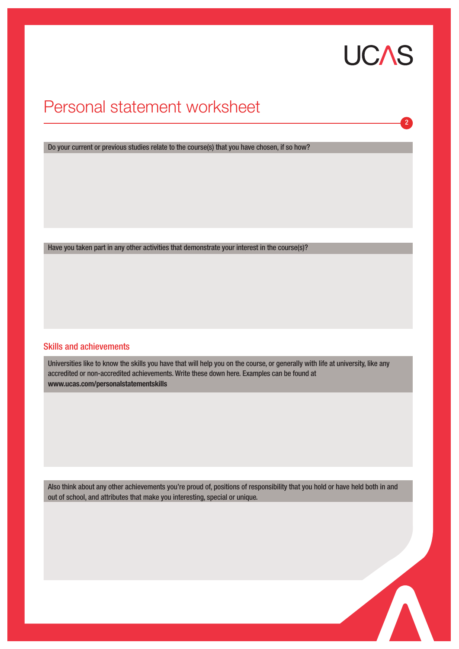# **UCAS**

2

## Personal statement worksheet

Do your current or previous studies relate to the course(s) that you have chosen, if so how?

Have you taken part in any other activities that demonstrate your interest in the course(s)?

### Skills and achievements

Universities like to know the skills you have that will help you on the course, or generally with life at university, like any accredited or non-accredited achievements. Write these down here. Examples can be found at **www.ucas.com/personalstatementskills**

Also think about any other achievements you're proud of, positions of responsibility that you hold or have held both in and out of school, and attributes that make you interesting, special or unique.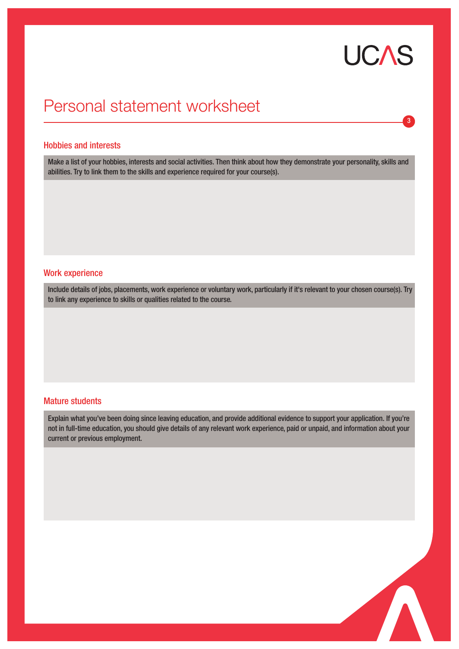# **UCAS**

3

# Personal statement worksheet

#### Hobbies and interests

Make a list of your hobbies, interests and social activities. Then think about how they demonstrate your personality, skills and abilities. Try to link them to the skills and experience required for your course(s).

#### Work experience

Include details of jobs, placements, work experience or voluntary work, particularly if it's relevant to your chosen course(s). Try to link any experience to skills or qualities related to the course.

### Mature students

Explain what you've been doing since leaving education, and provide additional evidence to support your application. If you're not in full-time education, you should give details of any relevant work experience, paid or unpaid, and information about your current or previous employment.